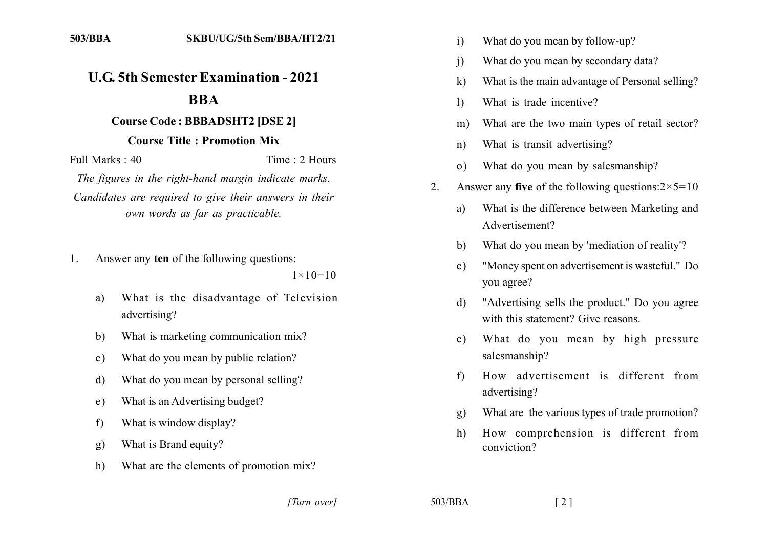## **U.G. 5th Semester Examination - 2021**

## **BBA**

## **Course Code: BBBADSHT2 [DSE 2]**

## **Course Title: Promotion Mix**

Full Marks  $\cdot$  40 Time: 2 Hours

The figures in the right-hand margin indicate marks. Candidates are required to give their answers in their own words as far as practicable.

Answer any ten of the following questions:  $1_{-}$ 

 $1 \times 10 = 10$ 

- What is the disadvantage of Television  $a)$ advertising?
- What is marketing communication mix?  $h$
- What do you mean by public relation?  $c)$
- What do you mean by personal selling?  $\mathbf{d}$
- What is an Advertising budget? e)
- What is window display?  $f$
- What is Brand equity?  $g)$
- What are the elements of promotion mix?  $h)$
- What do you mean by follow-up?  $\mathbf{i}$
- What do you mean by secondary data?  $\mathbf{j}$
- What is the main advantage of Personal selling?  $\bf k$
- What is trade incentive?  $\mathbf{D}$
- What are the two main types of retail sector?  $m)$
- What is transit advertising?  $n)$
- What do you mean by salesmanship?  $\Omega$
- Answer any five of the following questions: $2 \times 5 = 10$  $2^{\circ}$ 
	- What is the difference between Marketing and a) Advertisement?
	- What do you mean by 'mediation of reality'? b)
	- "Money spent on advertisement is wasteful." Do  $\mathbf{c}$ ) you agree?
	- "Advertising sells the product." Do you agree  $\mathbf{d}$ with this statement? Give reasons
	- What do you mean by high pressure  $e)$ salesmanship?
	- How advertisement is different from  $f$ advertising?
	- What are the various types of trade promotion?  $\mathfrak{g}$ )
	- How comprehension is different from  $h$ ) conviction?

[Turn over]

 $503/BBA$